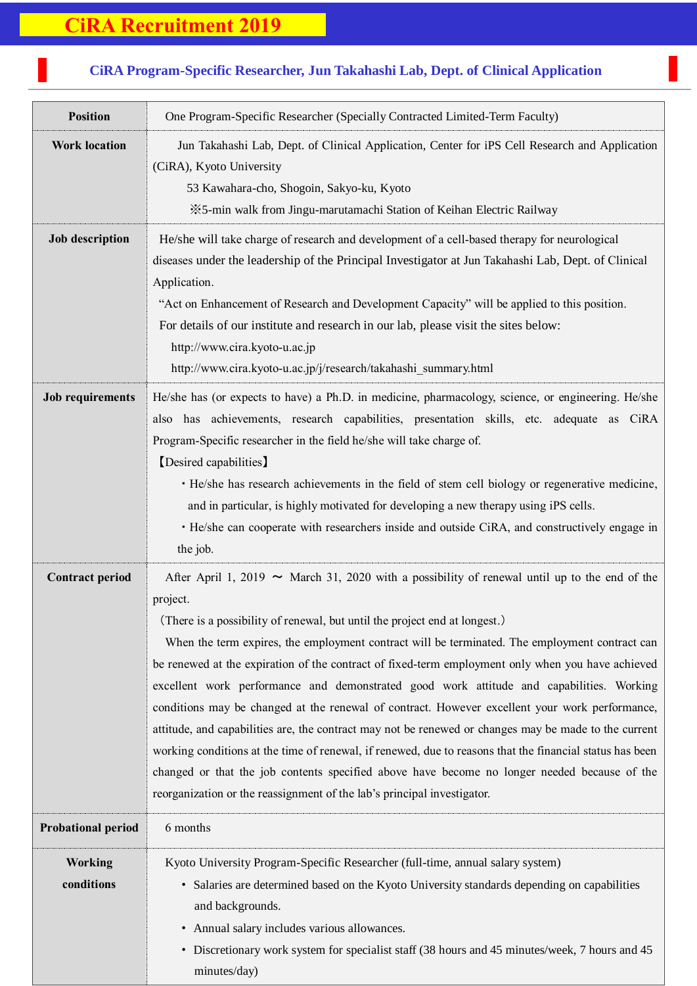## **CiRA Recruitment 2019**

## **Position** One Program-Specific Researcher (Specially Contracted Limited-Term Faculty) **Work location** Jun Takahashi Lab, Dept. of Clinical Application, Center for iPS Cell Research and Application (CiRA), Kyoto University 53 Kawahara-cho, Shogoin, Sakyo-ku, Kyoto ※5-min walk from Jingu-marutamachi Station of Keihan Electric Railway **Job description** He/she will take charge of research and development of a cell-based therapy for neurological diseases under the leadership of the Principal Investigator at Jun Takahashi Lab, Dept. of Clinical Application. "Act on Enhancement of Research and Development Capacity" will be applied to this position. For details of our institute and research in our lab, please visit the sites below: [http://www.cira.kyoto-u.ac.jp](http://www.cira.kyoto-u.ac.jp/) http://www.cira.kyoto-u.ac.jp/j/research/takahashi\_summary.html **Job requirements** He/she has (or expects to have) a Ph.D. in medicine, pharmacology, science, or engineering. He/she also has achievements, research capabilities, presentation skills, etc. adequate as CiRA Program-Specific researcher in the field he/she will take charge of. 【Desired capabilities】 ・He/she has research achievements in the field of stem cell biology or regenerative medicine, and in particular, is highly motivated for developing a new therapy using iPS cells. ・He/she can cooperate with researchers inside and outside CiRA, and constructively engage in the job. **Contract period** After April 1, 2019  $\sim$  March 31, 2020 with a possibility of renewal until up to the end of the project. (There is a possibility of renewal, but until the project end at longest.) When the term expires, the employment contract will be terminated. The employment contract can be renewed at the expiration of the contract of fixed-term employment only when you have achieved excellent work performance and demonstrated good work attitude and capabilities. Working conditions may be changed at the renewal of contract. However excellent your work performance, attitude, and capabilities are, the contract may not be renewed or changes may be made to the current working conditions at the time of renewal, if renewed, due to reasons that the financial status has been changed or that the job contents specified above have become no longer needed because of the reorganization or the reassignment of the lab's principal investigator. **Probational period** 6 months **Working conditions** Kyoto University Program-Specific Researcher (full-time, annual salary system) ・ Salaries are determined based on the Kyoto University standards depending on capabilities and backgrounds. ・ Annual salary includes various allowances. ・ Discretionary work system for specialist staff (38 hours and 45 minutes/week, 7 hours and 45

minutes/day)

## **CiRA Program-Specific Researcher, Jun Takahashi Lab, Dept. of Clinical Application**

7<br>7<br>7